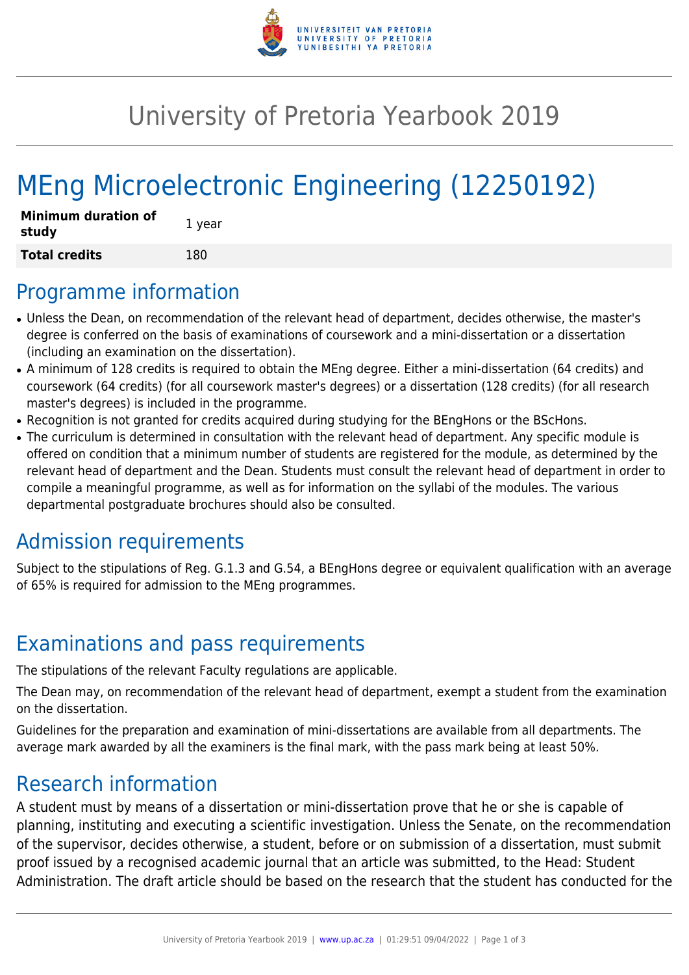

## University of Pretoria Yearbook 2019

# MEng Microelectronic Engineering (12250192)

| <b>Minimum duration of</b><br>study | 1 year |
|-------------------------------------|--------|
| <b>Total credits</b>                | 180    |

#### Programme information

- Unless the Dean, on recommendation of the relevant head of department, decides otherwise, the master's degree is conferred on the basis of examinations of coursework and a mini-dissertation or a dissertation (including an examination on the dissertation).
- A minimum of 128 credits is required to obtain the MEng degree. Either a mini-dissertation (64 credits) and coursework (64 credits) (for all coursework master's degrees) or a dissertation (128 credits) (for all research master's degrees) is included in the programme.
- Recognition is not granted for credits acquired during studying for the BEngHons or the BScHons.
- The curriculum is determined in consultation with the relevant head of department. Any specific module is offered on condition that a minimum number of students are registered for the module, as determined by the relevant head of department and the Dean. Students must consult the relevant head of department in order to compile a meaningful programme, as well as for information on the syllabi of the modules. The various departmental postgraduate brochures should also be consulted.

### Admission requirements

Subject to the stipulations of Reg. G.1.3 and G.54, a BEngHons degree or equivalent qualification with an average of 65% is required for admission to the MEng programmes.

### Examinations and pass requirements

The stipulations of the relevant Faculty regulations are applicable.

The Dean may, on recommendation of the relevant head of department, exempt a student from the examination on the dissertation.

Guidelines for the preparation and examination of mini-dissertations are available from all departments. The average mark awarded by all the examiners is the final mark, with the pass mark being at least 50%.

#### Research information

A student must by means of a dissertation or mini-dissertation prove that he or she is capable of planning, instituting and executing a scientific investigation. Unless the Senate, on the recommendation of the supervisor, decides otherwise, a student, before or on submission of a dissertation, must submit proof issued by a recognised academic journal that an article was submitted, to the Head: Student Administration. The draft article should be based on the research that the student has conducted for the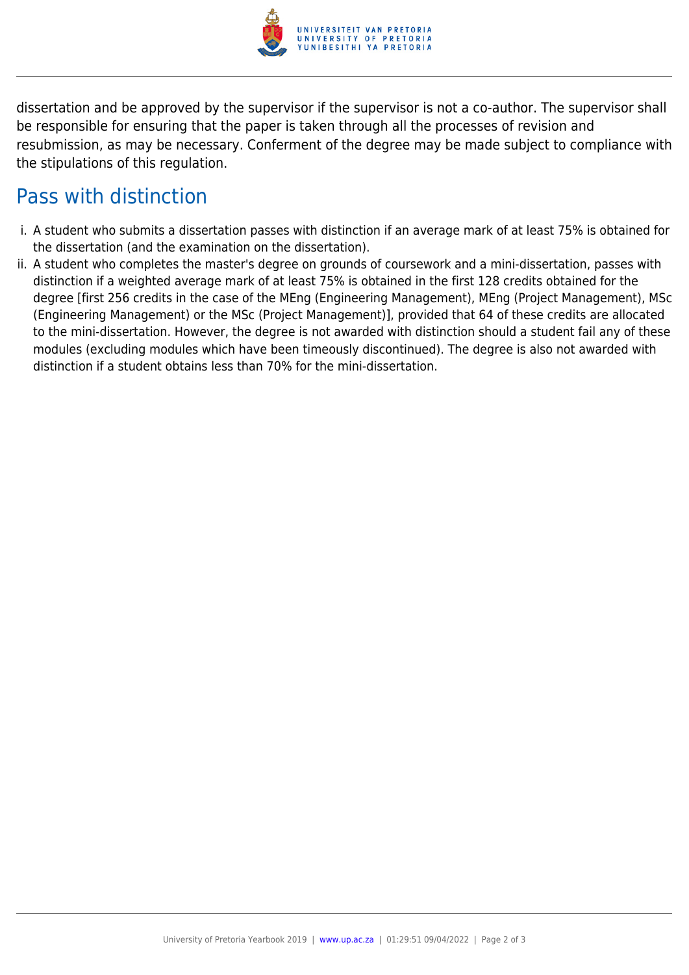

dissertation and be approved by the supervisor if the supervisor is not a co-author. The supervisor shall be responsible for ensuring that the paper is taken through all the processes of revision and resubmission, as may be necessary. Conferment of the degree may be made subject to compliance with the stipulations of this regulation.

#### Pass with distinction

- i. A student who submits a dissertation passes with distinction if an average mark of at least 75% is obtained for the dissertation (and the examination on the dissertation).
- ii. A student who completes the master's degree on grounds of coursework and a mini-dissertation, passes with distinction if a weighted average mark of at least 75% is obtained in the first 128 credits obtained for the degree [first 256 credits in the case of the MEng (Engineering Management), MEng (Project Management), MSc (Engineering Management) or the MSc (Project Management)], provided that 64 of these credits are allocated to the mini-dissertation. However, the degree is not awarded with distinction should a student fail any of these modules (excluding modules which have been timeously discontinued). The degree is also not awarded with distinction if a student obtains less than 70% for the mini-dissertation.